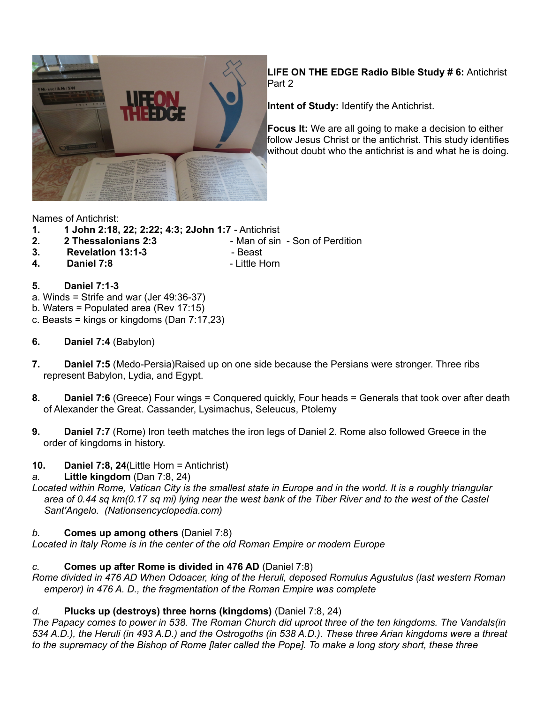

**LIFE ON THE EDGE Radio Bible Study # 6:** Antichrist Part 2

**Intent of Study:** Identify the Antichrist.

**Focus It:** We are all going to make a decision to either follow Jesus Christ or the antichrist. This study identifies without doubt who the antichrist is and what he is doing.

Names of Antichrist:

- **1. 1 John 2:18, 22; 2:22; 4:3; 2John 1:7** Antichrist
- **2. 2 Thessalonians 2:3**  Man of sin Son of Perdition
- **3. Revelation 13:1-3**  Beast
- 
- **4. Daniel 7:8**  Little Horn
- 

- **5. Daniel 7:1-3**
- a. Winds = Strife and war (Jer 49:36-37)
- b. Waters = Populated area (Rev 17:15)
- c. Beasts = kings or kingdoms (Dan 7:17,23)
- **6. Daniel 7:4** (Babylon)
- **7. Daniel 7:5** (Medo-Persia)Raised up on one side because the Persians were stronger. Three ribs represent Babylon, Lydia, and Egypt.
- **8. Daniel 7:6** (Greece) Four wings = Conquered quickly, Four heads = Generals that took over after death of Alexander the Great. Cassander, Lysimachus, Seleucus, Ptolemy
- **9. Daniel 7:7** (Rome) Iron teeth matches the iron legs of Daniel 2. Rome also followed Greece in the order of kingdoms in history.
- **10. Daniel 7:8, 24**(Little Horn = Antichrist)

# *a.* **Little kingdom** (Dan 7:8, 24)

*Located within Rome, Vatican City is the smallest state in Europe and in the world. It is a roughly triangular area of 0.44 sq km(0.17 sq mi) lying near the west bank of the Tiber River and to the west of the Castel Sant'Angelo. (Nationsencyclopedia.com)*

# *b.* **Comes up among others** (Daniel 7:8)

*Located in Italy Rome is in the center of the old Roman Empire or modern Europe*

# *c.* **Comes up after Rome is divided in 476 AD** (Daniel 7:8)

*Rome divided in 476 AD When Odoacer, king of the Heruli, deposed Romulus Agustulus (last western Roman emperor) in 476 A. D., the fragmentation of the Roman Empire was complete* 

# *d.* **Plucks up (destroys) three horns (kingdoms)** (Daniel 7:8, 24)

*The Papacy comes to power in 538. The Roman Church did uproot three of the ten kingdoms. The Vandals(in 534 A.D.), the Heruli (in 493 A.D.) and the Ostrogoths (in 538 A.D.). These three Arian kingdoms were a threat to the supremacy of the Bishop of Rome [later called the Pope]. To make a long story short, these three*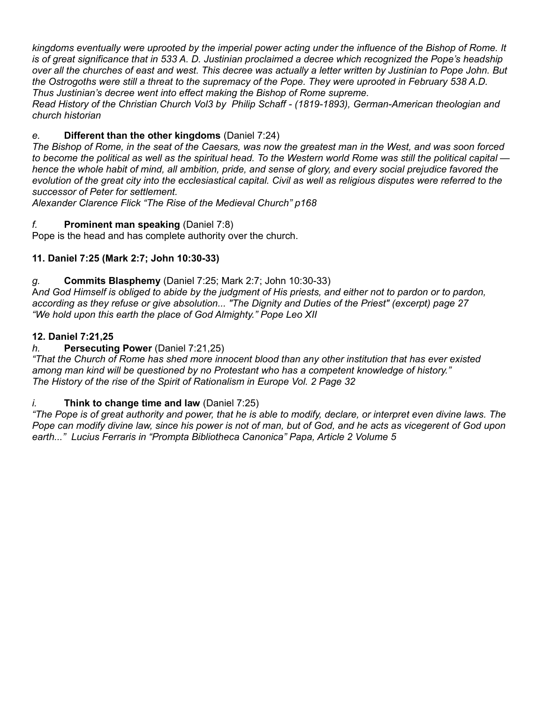*kingdoms eventually were uprooted by the imperial power acting under the influence of the Bishop of Rome. It is of great significance that in 533 A. D. Justinian proclaimed a decree which recognized the Pope's headship over all the churches of east and west. This decree was actually a letter written by Justinian to Pope John. But the Ostrogoths were still a threat to the supremacy of the Pope. They were uprooted in February 538 A.D. Thus Justinian's decree went into effect making the Bishop of Rome supreme.*

*Read History of the Christian Church Vol3 by Philip Schaff - (1819-1893), German-American theologian and church historian*

## *e.* **Different than the other kingdoms** (Daniel 7:24)

*The Bishop of Rome, in the seat of the Caesars, was now the greatest man in the West, and was soon forced to become the political as well as the spiritual head. To the Western world Rome was still the political capital hence the whole habit of mind, all ambition, pride, and sense of glory, and every social prejudice favored the evolution of the great city into the ecclesiastical capital. Civil as well as religious disputes were referred to the successor of Peter for settlement.* 

*Alexander Clarence Flick "The Rise of the Medieval Church" p168*

### *f.* **Prominent man speaking** (Daniel 7:8)

Pope is the head and has complete authority over the church.

## **11. Daniel 7:25 (Mark 2:7; John 10:30-33)**

### *g.* **Commits Blasphemy** (Daniel 7:25; Mark 2:7; John 10:30-33)

A*nd God Himself is obliged to abide by the judgment of His priests, and either not to pardon or to pardon, according as they refuse or give absolution... "The Dignity and Duties of the Priest" (excerpt) page 27 "We hold upon this earth the place of God Almighty." Pope Leo XII*

### **12. Daniel 7:21,25**

### *h.* **Persecuting Power** (Daniel 7:21,25)

*"That the Church of Rome has shed more innocent blood than any other institution that has ever existed among man kind will be questioned by no Protestant who has a competent knowledge of history." The History of the rise of the Spirit of Rationalism in Europe Vol. 2 Page 32*

### *i.* **Think to change time and law** (Daniel 7:25)

*"The Pope is of great authority and power, that he is able to modify, declare, or interpret even divine laws. The Pope can modify divine law, since his power is not of man, but of God, and he acts as vicegerent of God upon earth..." Lucius Ferraris in "Prompta Bibliotheca Canonica" Papa, Article 2 Volume 5*